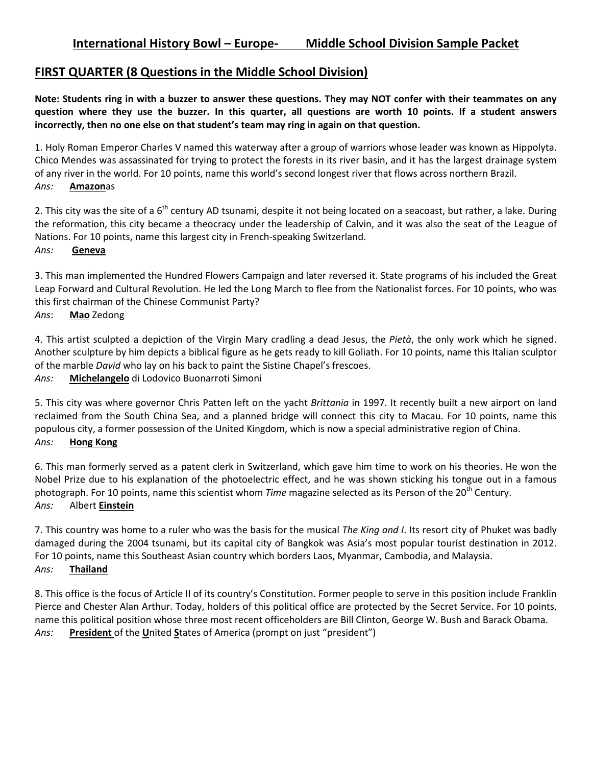# **FIRST QUARTER (8 Questions in the Middle School Division)**

**Note: Students ring in with a buzzer to answer these questions. They may NOT confer with their teammates on any question where they use the buzzer. In this quarter, all questions are worth 10 points. If a student answers incorrectly, then no one else on that student's team may ring in again on that question.** 

1. Holy Roman Emperor Charles V named this waterway after a group of warriors whose leader was known as Hippolyta. Chico Mendes was assassinated for trying to protect the forests in its river basin, and it has the largest drainage system of any river in the world. For 10 points, name this world's second longest river that flows across northern Brazil. *Ans:* **Amazon**as

2. This city was the site of a  $6<sup>th</sup>$  century AD tsunami, despite it not being located on a seacoast, but rather, a lake. During the reformation, this city became a theocracy under the leadership of Calvin, and it was also the seat of the League of Nations. For 10 points, name this largest city in French-speaking Switzerland. *Ans:* **Geneva**

3. This man implemented the Hundred Flowers Campaign and later reversed it. State programs of his included the Great Leap Forward and Cultural Revolution. He led the Long March to flee from the Nationalist forces. For 10 points, who was this first chairman of the Chinese Communist Party? *Ans*: **Mao** Zedong

4. This artist sculpted a depiction of the Virgin Mary cradling a dead Jesus, the *Pietà*, the only work which he signed. Another sculpture by him depicts a biblical figure as he gets ready to kill Goliath. For 10 points, name this Italian sculptor of the marble *David* who lay on his back to paint the Sistine Chapel's frescoes.

*Ans:* **Michelangelo** di Lodovico Buonarroti Simoni

5. This city was where governor Chris Patten left on the yacht *Brittania* in 1997. It recently built a new airport on land reclaimed from the South China Sea, and a planned bridge will connect this city to Macau. For 10 points, name this populous city, a former possession of the United Kingdom, which is now a special administrative region of China. *Ans:* **Hong Kong**

6. This man formerly served as a patent clerk in Switzerland, which gave him time to work on his theories. He won the Nobel Prize due to his explanation of the photoelectric effect, and he was shown sticking his tongue out in a famous photograph. For 10 points, name this scientist whom *Time* magazine selected as its Person of the 20<sup>th</sup> Century. *Ans:* Albert **Einstein**

7. This country was home to a ruler who was the basis for the musical *The King and I*. Its resort city of Phuket was badly damaged during the 2004 tsunami, but its capital city of Bangkok was Asia's most popular tourist destination in 2012. For 10 points, name this Southeast Asian country which borders Laos, Myanmar, Cambodia, and Malaysia. *Ans:* **Thailand**

8. This office is the focus of Article II of its country's Constitution. Former people to serve in this position include Franklin Pierce and Chester Alan Arthur. Today, holders of this political office are protected by the Secret Service. For 10 points, name this political position whose three most recent officeholders are Bill Clinton, George W. Bush and Barack Obama. *Ans:* **President** of the **U**nited **S**tates of America (prompt on just "president")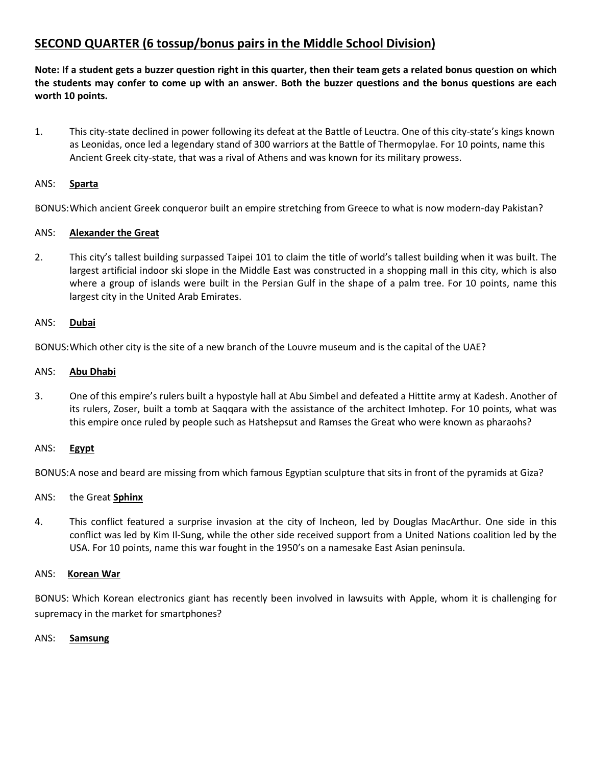# **SECOND QUARTER (6 tossup/bonus pairs in the Middle School Division)**

**Note: If a student gets a buzzer question right in this quarter, then their team gets a related bonus question on which the students may confer to come up with an answer. Both the buzzer questions and the bonus questions are each worth 10 points.**

1. This city-state declined in power following its defeat at the Battle of Leuctra. One of this city-state's kings known as Leonidas, once led a legendary stand of 300 warriors at the Battle of Thermopylae. For 10 points, name this Ancient Greek city-state, that was a rival of Athens and was known for its military prowess.

### ANS: **Sparta**

BONUS:Which ancient Greek conqueror built an empire stretching from Greece to what is now modern-day Pakistan?

## ANS: **Alexander the Great**

2. This city's tallest building surpassed Taipei 101 to claim the title of world's tallest building when it was built. The largest artificial indoor ski slope in the Middle East was constructed in a shopping mall in this city, which is also where a group of islands were built in the Persian Gulf in the shape of a palm tree. For 10 points, name this largest city in the United Arab Emirates.

### ANS: **Dubai**

BONUS:Which other city is the site of a new branch of the Louvre museum and is the capital of the UAE?

### ANS: **Abu Dhabi**

3. One of this empire's rulers built a hypostyle hall at Abu Simbel and defeated a Hittite army at Kadesh. Another of its rulers, Zoser, built a tomb at Saqqara with the assistance of the architect Imhotep. For 10 points, what was this empire once ruled by people such as Hatshepsut and Ramses the Great who were known as pharaohs?

### ANS: **Egypt**

BONUS:A nose and beard are missing from which famous Egyptian sculpture that sits in front of the pyramids at Giza?

## ANS: the Great **Sphinx**

4. This conflict featured a surprise invasion at the city of Incheon, led by Douglas MacArthur. One side in this conflict was led by Kim Il-Sung, while the other side received support from a United Nations coalition led by the USA. For 10 points, name this war fought in the 1950's on a namesake East Asian peninsula.

### ANS: **Korean War**

BONUS: Which Korean electronics giant has recently been involved in lawsuits with Apple, whom it is challenging for supremacy in the market for smartphones?

### ANS: **Samsung**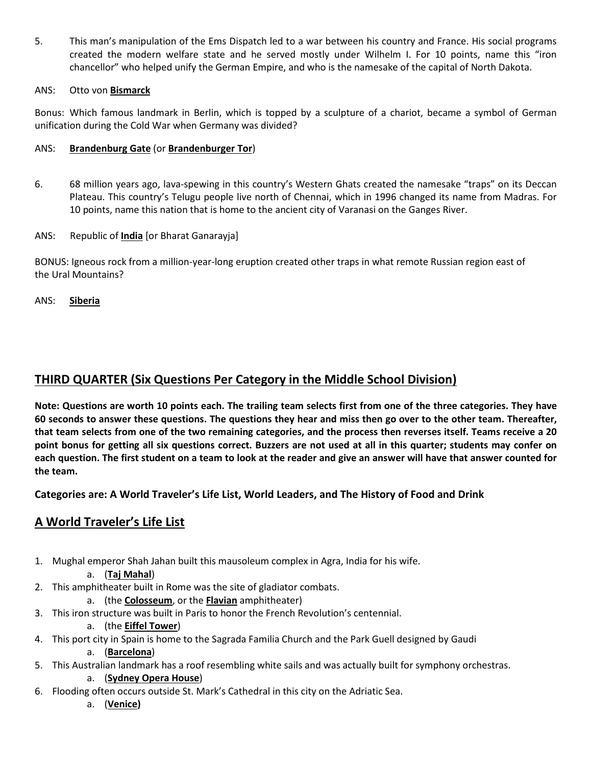5. This man's manipulation of the Ems Dispatch led to a war between his country and France. His social programs created the modern welfare state and he served mostly under Wilhelm I. For 10 points, name this "iron chancellor" who helped unify the German Empire, and who is the namesake of the capital of North Dakota.

## ANS: Otto von **Bismarck**

Bonus: Which famous landmark in Berlin, which is topped by a sculpture of a chariot, became a symbol of German unification during the Cold War when Germany was divided?

## ANS: **Brandenburg Gate** (or **Brandenburger Tor**)

- 6. 68 million years ago, lava-spewing in this country's Western Ghats created the namesake "traps" on its Deccan Plateau. This country's Telugu people live north of Chennai, which in 1996 changed its name from Madras. For 10 points, name this nation that is home to the ancient city of Varanasi on the Ganges River.
- ANS: Republic of **India** [or Bharat Ganarayja]

BONUS: Igneous rock from a million-year-long eruption created other traps in what remote Russian region east of the Ural Mountains?

ANS: **Siberia**

# **THIRD QUARTER (Six Questions Per Category in the Middle School Division)**

**Note: Questions are worth 10 points each. The trailing team selects first from one of the three categories. They have 60 seconds to answer these questions. The questions they hear and miss then go over to the other team. Thereafter, that team selects from one of the two remaining categories, and the process then reverses itself. Teams receive a 20 point bonus for getting all six questions correct. Buzzers are not used at all in this quarter; students may confer on each question. The first student on a team to look at the reader and give an answer will have that answer counted for the team.**

**Categories are: A World Traveler's Life List, World Leaders, and The History of Food and Drink**

# **A World Traveler's Life List**

- 1. Mughal emperor Shah Jahan built this mausoleum complex in Agra, India for his wife.
	- a. (**Taj Mahal**)
- 2. This amphitheater built in Rome was the site of gladiator combats.
	- a. (the **Colosseum**, or the **Flavian** amphitheater)
- 3. This iron structure was built in Paris to honor the French Revolution's centennial.
	- a. (the **Eiffel Tower**)
- 4. This port city in Spain is home to the Sagrada Familia Church and the Park Guell designed by Gaudi a. (**Barcelona**)
- 5. This Australian landmark has a roof resembling white sails and was actually built for symphony orchestras.
	- a. (**Sydney Opera House**)
- 6. Flooding often occurs outside St. Mark's Cathedral in this city on the Adriatic Sea.
	- a. (**Venice)**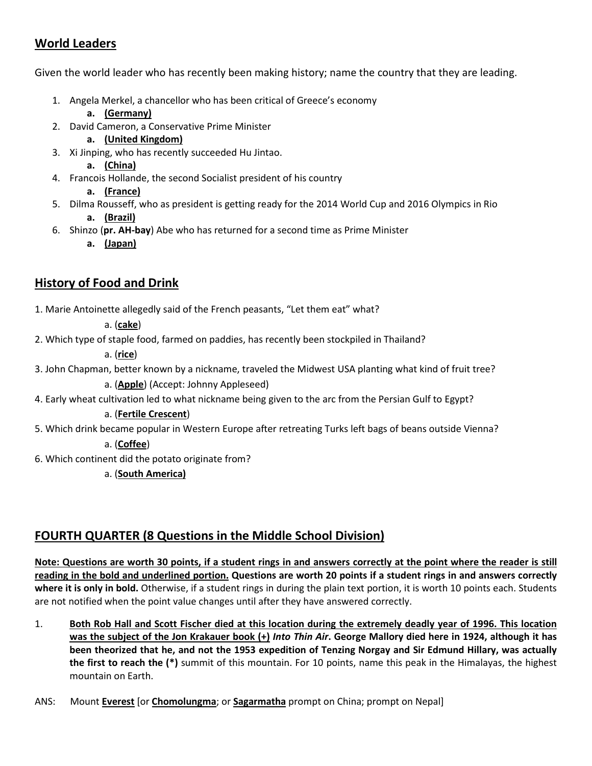# **World Leaders**

Given the world leader who has recently been making history; name the country that they are leading.

- 1. Angela Merkel, a chancellor who has been critical of Greece's economy
	- **a. (Germany)**
- 2. David Cameron, a Conservative Prime Minister
	- **a. (United Kingdom)**
- 3. Xi Jinping, who has recently succeeded Hu Jintao.
	- **a. (China)**
- 4. Francois Hollande, the second Socialist president of his country

## **a. (France)**

- 5. Dilma Rousseff, who as president is getting ready for the 2014 World Cup and 2016 Olympics in Rio **a. (Brazil)**
- 6. Shinzo (**pr. AH-bay**) Abe who has returned for a second time as Prime Minister
	- **a. (Japan)**

# **History of Food and Drink**

1. Marie Antoinette allegedly said of the French peasants, "Let them eat" what?

a. (**cake**)

2. Which type of staple food, farmed on paddies, has recently been stockpiled in Thailand?

a. (**rice**)

- 3. John Chapman, better known by a nickname, traveled the Midwest USA planting what kind of fruit tree? a. (**Apple**) (Accept: Johnny Appleseed)
- 4. Early wheat cultivation led to what nickname being given to the arc from the Persian Gulf to Egypt?

a. (**Fertile Crescent**)

5. Which drink became popular in Western Europe after retreating Turks left bags of beans outside Vienna?

# a. (**Coffee**)

6. Which continent did the potato originate from?

a. (**South America)**

# **FOURTH QUARTER (8 Questions in the Middle School Division)**

**Note: Questions are worth 30 points, if a student rings in and answers correctly at the point where the reader is still reading in the bold and underlined portion. Questions are worth 20 points if a student rings in and answers correctly where it is only in bold.** Otherwise, if a student rings in during the plain text portion, it is worth 10 points each. Students are not notified when the point value changes until after they have answered correctly.

- 1. **Both Rob Hall and Scott Fischer died at this location during the extremely deadly year of 1996. This location was the subject of the Jon Krakauer book (+)** *Into Thin Air***. George Mallory died here in 1924, although it has been theorized that he, and not the 1953 expedition of Tenzing Norgay and Sir Edmund Hillary, was actually the first to reach the (\*)** summit of this mountain. For 10 points, name this peak in the Himalayas, the highest mountain on Earth.
- ANS: Mount **Everest** [or **Chomolungma**; or **Sagarmatha** prompt on China; prompt on Nepal]